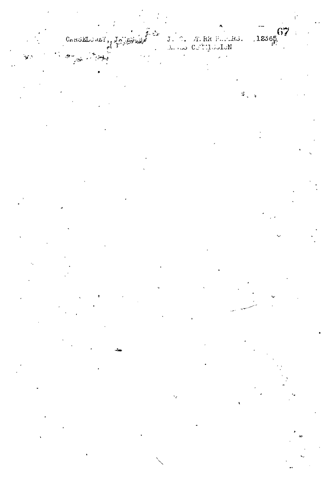# CARSELOWEY

# $12365$ ATRA PILARS.<br>NATIJOSION . ار ن<br>C

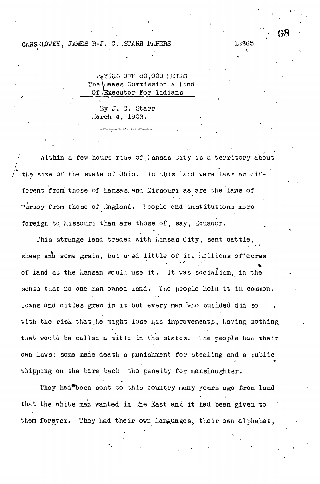#### CARSELOWEY, JAMES R-J. C. STARR PAPERS

14YING OFF 80,000 HEIRS The *Quawes* Commission A hind Of *Executor* For lndians

By J. C. Starr Larch 4, 1903.

Within a few hours riae of lansas City is a territory about the size of the state of Ohio. In this land were laws as different from those of hansas and Missouri as are the laws of Turkey from those of England. leople and institutions more foreign to Missouri than are those of, say, Ecuador.

This strange land traded with hansas City, sent cattle, sheep and some grain, but used little of its millions of acres of land as the hansan would use it. It was socialism, in the sense that no one man owned land. The people held it in common. Towns and cities grew in it but every man who puilded did so with the risk that he might lose his improvements, having nothing that would be called a title in the states. The people had their own laws: some made death a punishment for stealing and a public whipping on the bare back the penalty for manslaughter.

They had been sent to this country many years ago from land that the white man wanted in the East and it had been given to them forever. They had their own languages, their own alphabet,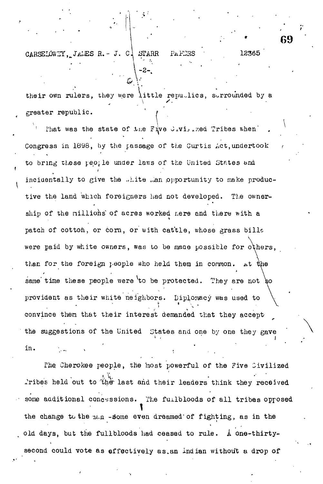CARSELOWEY, JALES R. - J. C. STARR PAFIRS 12365

greater republic. their own rulers, they were little republics, surrounded by a

• » •

That was the state of the Five Jivilized Tribes when' Congress in 1898, by the passage of the Curtis Act,undertook to bring these people under laws of the United States and incidentally to give the ..hite ..an opportunity to make productive the land which foreigners had not developed. The ownership of the millions of acres worked nere and there with a patch of cotton, or corn, or with cattle, whose grass bills were paid by white owners, was to be made possible for others, than for the foreign people who held them in common. At the same time these people were to be protected. They are not so provident as their white neighbors. Diplomacy was used to convince then that their interest demanded that they acceptthe suggestions of the United States and one by one they gave in. , we have the set of  $\mathcal{L}$  , and  $\mathcal{L}$  , and  $\mathcal{L}$ 

The Cherokee people, the most powerful of the Five Civilized lribes held out to the last and their leaders think they received some additional concessions. The fuilbloods of all tribes opposed the change to the  $n.e. n$  -some even dreamed of fighting, as in the old days, but the fullbloods had ceased to rule.  $\Lambda$  one-thirtysecond could vote as effectively as.an indian without a drop of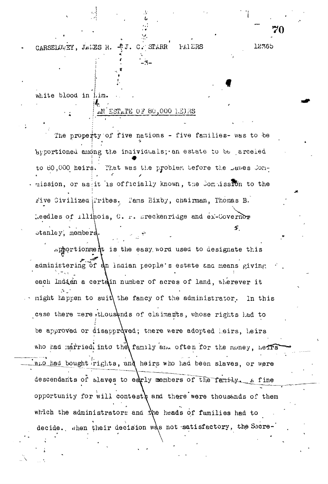4J. C. STARR CARSELOWEY, JAMES R. PAIERS

white blood in him.

## AN ESTATE OF 80,000 HEIRS

12365

The property of five nations - five families- was to be apportioned among the individuals; an estate to be arceled to 80,000 heirs. That was the problem before the Dawes Com-. mission, or as it is officially known, the Commission to the rive Civilized Tribes. Tams Bixby, chairman, Thomas B. keedles of illinois, C. r. preckenridge and ex-Covernor  $\mathcal{F}$ stanley, members.

 $\Delta$ pportionment is the easy word used to designate this administering of an Indian people's estate and means giving each Indian a certain number of acres of land, wherever it might happen to suit the fancy of the administrator. In this case there were thousunds of claimants, whose rights had to be approved or disapproved; there were adopted leirs, heirs who had married into the family and often for the money, herrs who had bought rights, and heirs who had been slaves, or were descendants of slaves to early members of the family. A fine opportunity for will contesty and there were thousands of them which the administrators and the heads of families had to decide. when their decision was not satisfactory, the Secre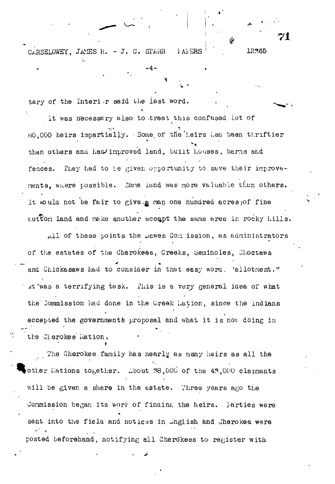CARSELOWEY, JAMES R. - J. C. STARR 1 AFERS

tary of the Interior said the last word.

It was necessary also to treat this confused lot of HO,000 heirs impartially. Some, of the heirs haa been thriftier than others and had improved land, built houses, barns and fences. They had to Le given opportunity to save their improvements, where possible. Sone land was more valuable than others. It would not be fair to give.& man one hundred acres; of fine  $tot$  to land and make another accept the same area in rocky hills.

 $-4 -$ 

!

. 12365

21

All of these points the Dawes Com ission, as administrators of the estates of the Cherokees, Greeks, Serninoles, Jhoccaws and Chickasaws had to consider in that easy word. 'allotment." It was a terrifying task. This is a very general idea of what the Commission had done in the Creek Lation, since the Indians **/** accepted the governments proposal and what it is now doing in accepted the governments proposal and what is not in the government  $\mathcal{O}_\mathcal{A}$ 

The Cherokee family has nearly as many heirs as all the other Kations together. About  $78,000$  of the  $47,000$  claimants will be given a share in the estate. Three years ago the Commission began its work of finaing the heirs. Tarties were sent into the field and notices in Inglish and Cherokee were sent into the fi e la and notice s in Jnglish and Cherokee were

posted before hand, notified all  $\mathcal{L}$  algebras to registe r with  $\mathcal{L}$  algebras to  $\mathcal{L}$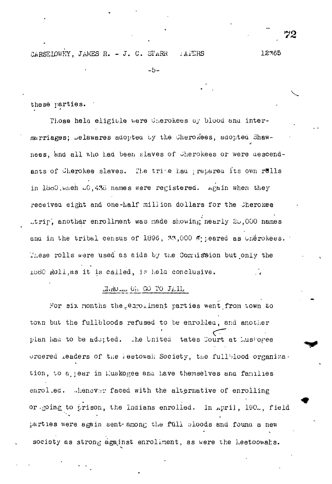12365

 $-5-$ 

these parties.

Those hela eligible were Cherokees by blood and intermarriages; belawares adopted by the Cherokees, adopted Shawnees, and all who had been slaves of Cherokees or were descendants of Cherokee slaves. The trive had prepared its own rells in 1880, when 00, 436 names were registered. Again when they received eight and one-half million dollars for the Cherokee trip, another enrollment was made showing nearly  $20,000$  names and in the tribal census of 1896, 33,000 fypeared as Unerokees. These rolls were used as aids by the Commission but only the 1880 Roll, as it is called, is held conclusive.

## HoROLL ON GO TO JAIL

For six months the earollment parties went from town to town but the fullbloods refused to be enrolled, and another plan had to be adopted. The United tates Court at LusForee ordered leaders of the leetowah Society, the fullblood organiza. tion, to a jear in Euskogee and have themselves and families enrol.ed. Whenever faced with the alternative of enrolling or going to prison, the Indians enrolled. In April, 190., field parties were again sent among the full ploods and found a new society as strong against enroliment, as were the heetoowahs.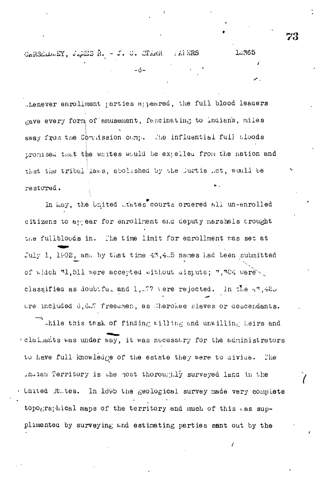CARSELOWEY, JAMES R. - J. C. CTARR  $.$  Al ERS

thenever enrollment parties appeared, the full blood leaders gave every form of amusement, fascinating to indians, miles away from the Commission camp. The influential full aloods promised that the whites would be expelled from the nation and that the tribal laws, abolished by the Jurtis ..ct, would be restored.

In May, the United .tates courts ordered all un-enrolled citizens to appear for enrollment and deputy marshals trought the fullbloods in. The time limit for enrollment was set at July 1, 1902, and by that time 43,4.5 names had been submitted of which 31,511 were accepted without uistute; 7,304 were classified as doubtful and 1, 57 vere rejected. In the  $4^{\circ}$ ,  $42^{\circ}$ are included 6, 6.7 freedmen, as therokee slaves or descendants.

while this task of finding willing and unwilling heirs and claimants was under way, it was necessary for the administrators to have full knowledge of the estate they were to aivide. The indian Territory is the nost thoroughly surveyed land in the United futes. In 1895 the geological survey made very complete topographical maps of the territory and much of this was supplimented by surveying and estimating parties sant out by the

73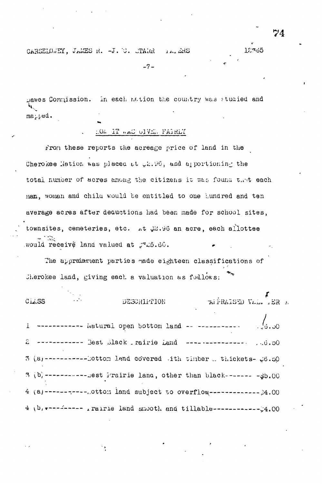CARSELOWEY, JAMES R. -J. C. CTARR 144 ARS

 $-7-$ 

Dawes Commission. In each nation the country was studied and matted.

106 IT WAS GIVER FAIRLY

From these reports the acreage price of land in the Cherokee Mation was placed at 22.96, and apportioning the total number of acres among the citizens it was found that each man, woman and child would be entitled to one hundred and ten average acres after dequations had been made for school sites. townsites, cemeteries, etc. At 22.96 an acre, each allottee would receive land valued at .725.60.

The appraisment parties made eighteen classifications of Cherokee land, giving each a valuation as follows:

 $\overline{A}$  FRAISED VAL. IER  $E$  $C_{L1}$  $SS$ DESCRIPTION ------------ Natural open bottom land -- ----------- $\bar{1}$ 2 ------------ Best Black rairie Land --------------- $. . . 6. . 50$ 3 (a)------------Dottom land covered (ith timber .. thickets- #6.20 3 (b) ------------sest irairie land, other than black------- - 35.00 4 (a) ----------- ottom land subject to overflow--------------  $24.00$ 4 (b) r-------- rairie land smooth and tillable-------------------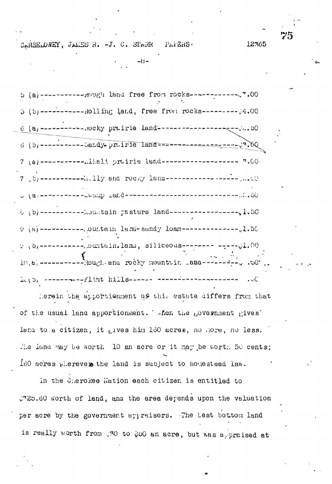CARSELONEY, JALES R. -J. C. STARR PAPERS.

 $5 (b)$ ------------Rolling land, free from rocks--------- $4.00$  $7(6)$ ------------Allali prairie land-------------------  $3.00$  $7 \t{b}$  -----------it. Ily and rocky land-------------------, ... 5 (b)------------ houstain pasture land------------------- 1.50  $9$  (a) ---------- outtain land-sandy loam---------------1.50 v (b) -----------...Ountain, land, siliceous-------- ------ (l.OO  $10, a$ , -----------Rough-and rocky mountain  $ana$ ---------- . . . leto, announce-flint hills------ convenie-announce---

 $-3 -$ 

Lerein the apportionment of this estate differs from that of the usual land apportionment. When the government gives' lana to a citizen, it gives him 160 acres, no hore, no less. The land may be worth  $10$  an acre or it may be worth  $50$  cents; 160 acres wherever the land is subject to homestead law.

In the Cherokee Wation each citizen is entitled to 2725.60 worth of land, and the area depends upon the valuation per acre by the government appraisers. The test bottom land is really worth from .30 to \$50 an acre, but was appraised at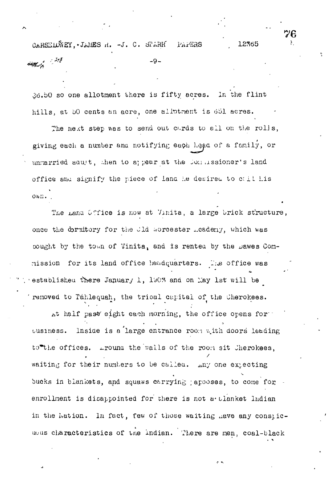12365 t. -J. C. di'ARIf PAPSHS man 1 22  $-9-$ 

.Jb.bO so one allotment there is fifty acres. In the flint hills, at *oO* cents an acre, one allotment is *661* acres.

The next step was to send out cards to all on the rolls, giving each a number and notifying each head of a family, or unnarried aaut, then to appear at the Joanssioner's land office and signify the piece of land he desired to c; il his ov.il. .

The Land Office is now at Vinita, a large brick structure, once the cormitory for the Jld Worcester . cadeny, which was bought by the town of Vinita, and is rented by the bawes Commission for its land office headquarters. The office was establisheu there January 1, 1903 and on May 1st will be removed to Tahlequah, the trioal capital of the Cherokees.

 $\mu$ t half past eight each morning, the office opens for ousiness. Inside is a large entrance roon with doors leading to the offices.  $\Delta x$  is the valls of the room sit Jherokees, waiting for their numbers to be called.  $\Delta n$ y one expecting bucks in blankets, and squaws carrying ; apooses, to come for enrollment is disappointed for there is not a tlanket Indian in the Nation. In fact, few of those waiting have any conspicuous characteristics of the Indian. There are men, coal-black

 $\sim$   $\sim$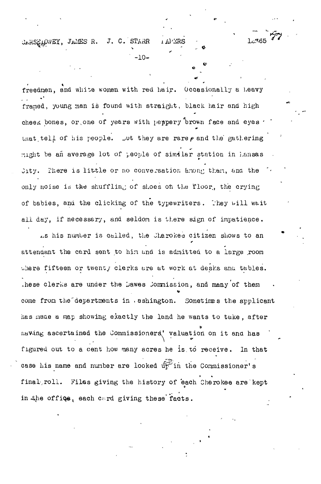CARSELOWEY, JAMES R. J. C. STARR

freedmen, and white women with red hair. Occasionally a heavy framed, young man is found with straight, black hair and high cheek bones, or, one of years with peppery brown face and eyes  $\cdot$ that tell of his people. Lut they are rare  $\rho$  and the gathering might be an average lot of people of similar station in i.ansas Jity. There is little or no conversation anong than, and the only noise is the shuffling of shoes on the floor, the crying of babies, and the clicking of the typewriters. They will wait all day, if necessary, and seldom is there sign of impatience.

-10-

**77**

.s his number is called, the Cherokee citizen shows to an attendant the card sent to hin and is admitted to a large .room where fifteen or twenty clerks are at work at desks and tables. .hese clerks are under the Dawes Jommission, and many of them come from the departments in . ashington. Sometimes the applicant has inaae a map showing exactly the land he wants to take , after naving ascertained the Commissioners^' valuation on it ana has figured out to a cent how many acres he is to receive. In that case his name and number are looked up in the Commissioner's case his name and number are looked tf\*?" and number are looked tf\*?" and number are looked tf\*?" in the Commissioner final,roll. Files giving the history of each Cherokee are kept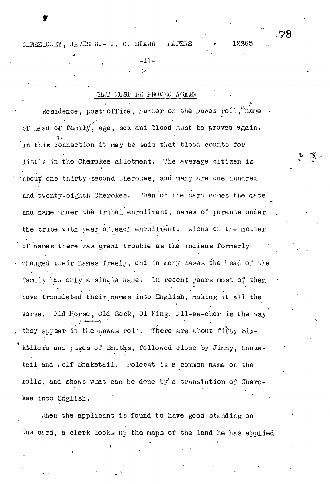CARSELOWEY, JAMES R. - J. C. STARR **TAPERS** 

 $-11-$ 

#### ARADA GENUSI EE FROVED AGAIN

Residence, post office, number on the pawes roll, name of lead of family, age, sex and blood must be proved again. in this connection it may be said that blood counts for little in the Cherokee allotment. The average citizen is about one thirty-second Jierokee, and many are one hundred and twenty-eighth Cherokee. Then on the card comes the date and name under the tribal enrollment, names of jarents under the tribe with year of each enrollment. Alone on the matter of names there was great trouble as the indians formerly. changed their names freely, and in many cases the head of the family had only a single name. In recent years most of them Thave translated their names into English, making it all the Uld Horse, Uld Sock, Jl Hing. 011-ee-cher is the way worse. they appear in the bawes roll. There are about fifty Sixkillers and pages of Smiths, followed close by Jinny, Snaketail and olf Snaketail. . olecat is a common name on the rolls, and shows what can be done by a translation of Cherokee into English.

When the applicant is found to have good standing on the card, a clerk looks up the maps of the land he has applied

78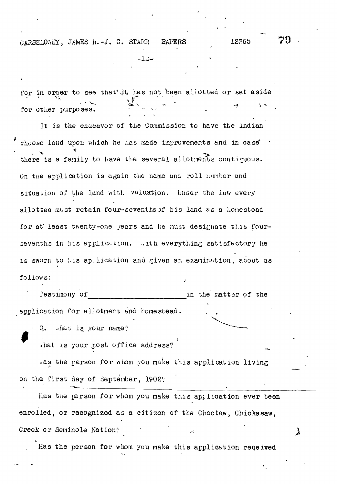CARSELOWEY, JAMES R. - J. C. STARR **RAPERS** 

12365

79

λ

for in order to see that it has not been allotted or set aside for other purposes.

⊸ک1-

It is the endeavor of the Commission to have the Indian choose land upon which he has made improvements and in case' there is a family to have the several allothents contiguous. On the application is again the name and roll number and situation of the land with Valuation. Under the law every allottee must retain four-sevenths of his land as a homestead for at least twenty-one gears and he must designate this foursevenths in his appliction. with everything satisfactory he is sworn to his application and given an examination, about as follows:

Testimony of in the matter of the application for allotment and homestead.

 $\cdot$  Q. what is your name?

what is your post office address?

has the person for whom you make this application living on the first day of September, 1902?

has the parson for whom you make this application ever been enrolled, or recognized as a citizen of the Choctaw, Chickasaw, Creek or Seminole Nation?

Has the person for whom you make this application received.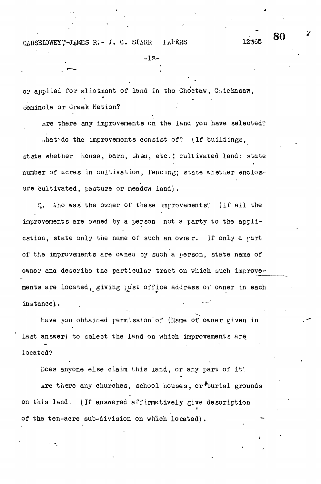CARSELOWEY, JAMES R.- J. C. STARR IAFERS

or applied for allotment of land in the Choctaw, Caickasaw, 6eminole or Creek Nation?

nre there any improvements on the land you have selected? ..hat do the improvements consist of? (If buildings,

 $-13-$ 

 $\frac{1}{12365}$  80

state whether house, barn, shea, etc.; cultivated land; state number of acres in cultivation, fencing; state whether enclosure cultivated, pasture or meadow land).

Q. Who was the owner of these improvements? (If all the improvements are owned by a person not a party to the application, state only the name of such an owner. If only a part of the improvements are owned by such a person, state name of owner ana describe the particular tract on which such improvements are located, giving post office address of owner in each instance}.

have you obtained permission'of (Kame of owner given in last answer) to select the land on which improvements are located?

Does anyone else claim this land, or any part of if. .are there any churches, school houses, or\*burial grounds on this land. ; (If answered affirmatively give description **t** of the ten-acre sub-division on which located).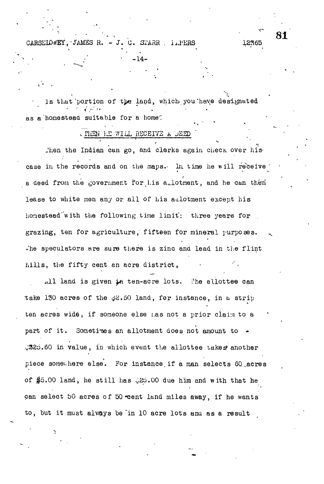CARSEIOWEY, JAMES R.  $-J. C.$  STARR  $.$  I.PERS

Is that portion of the land, which you have designated as a homestead suitable for a home?

-14.

81

12365

#### . MEN HE WILL RECEIVE A DEED

Then the Indian can go, and clerks again check over his case in the records and on the maps. In time he will receive a deed from the government for his allotment, and he can then lease to white men any or all of his allotment except his homestead with the following time limit: three years for grazing, ten for agriculture, fifteen for mineral purposes. The speculators are sure there is zinc and lead in the flint hills, the fifty cent an acre district,

All land is given in ten-acre lots. The allottee can take 130 acres of the \$2.50 land, for instance, in a strip ten acres wide, if someone else has not a prior claim to a part of it. Sometimes an allotment does not amount to .325.60 in value, in which event the allottee takes another piece somewhere else. For instance if a man selects 60 acres of  $\frac{4}{90}$ .00 land, he still has 220.00 due him and with that he can select 50 acres of 50 cent land miles away, if he wants to, but it must always be in 10 acre lots and as a result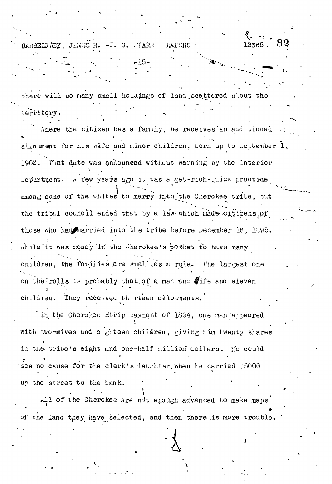OARSELOVEY, JAMES R. -J. C. TARR

there will be many small holdings of land scattered about territory.

**LAPERS** 

12365.

There the citizen has a family, he receives an additional allotment for his wife and minor children, born up to Deptember 1, That date was anhounced without warning by the Interior 1902. Department. A few years ago it was a get-rich-quick practice among some of the whites to marry into the Cherokee tribe, out the tribal council ended that by a law which made citizens of those who had married into the tribe before becember 16, 1595. while it was money in the Cherokee's pocket to have many cnildren, the families are small as a rule. The largest one on the rolls is probably that of a man and fife and eleven children. They received thirteen allotments.

in the Cherokee Strip payment of 1894, one man appeared with two wives and elghteen children, giving him twenty shares in the tribe's eight and one-half million dollars. He could see no cause for the clerk's lauthter when he carried 35000 up the street to the bank.

All of the Cherokee are not enough advanced to make maps of the land they have selected, and then there is more trouble.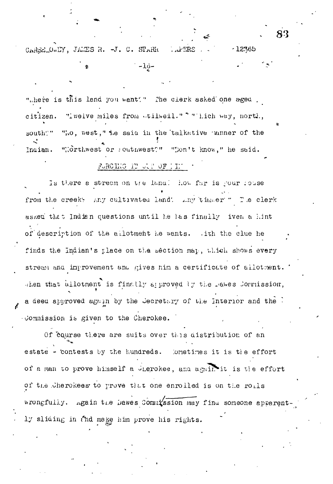CARSELOWLY, JAMES R. -J. C. STARK  $...$  $FRR$  $-12365$ 

 $-10-$ 

".here is this land you want?" The clerk asked one aged. citizen. Tiwelve miles from wtilmedl." "Thich way, north, "No, west," the said in the talkative unner of the south?" "Northwest or southwest?" "Don't know," he said. Indian.

## FURCING IT ULP OF IIM

Is there a stream on the land? How far is your rouse from the creek: Any cultivated land! Any timer" The clerk asked that Indian questions until he las finally iven a hint of description of the allotment he wants. This the clue he finds the Indian's place on the section map, which shows every stream and improvement and gives him a certificate of allotment. Then that allotment is finally approved by the makes formission, a deed approved again by the Secretary of the Interior and the 1 Jommission is given to the Cherokee.

Of course there are suits over this distribution of an estate - contests by the hundreds. Dometimes it is the effort of a man to prove himself a Jierokee, and again it is the effort of the Cherokees to prove that one enrolled is on the rolls wrongfully. Again the Dawes Commission may find someone apparent ly sliding in thd make him prove his rights.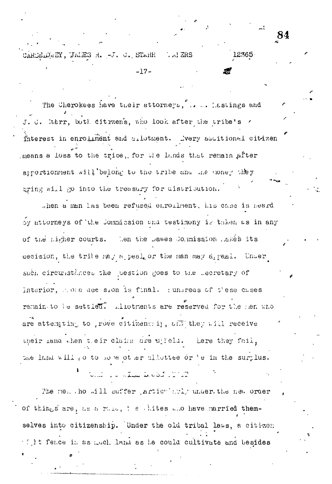84

 $12365$ 

CARSELOWEY, JAMES R. -J. C. STARR AN ERS

The Cherokees have their attorneys, .... Lastings and lterr, both citrzens, who look after the tribe's r interest in enrollment and allotment. Dvery accitional citizen means a loss to the tripe, for the lands that remain after apportionment will belong to the tribe and the noney they gring will go into the treasury for distribution.

 $-17-$ 

.hen a man las been refused enrollment, his case is neard by attorneys of the Commission and testimony is taken as in any of the Ligher courts. Len the Dawes Colmission Lake's its decision, the tribe may a peal or the man may a peal. Under such circumstinces the juestion goes to the Lecretary of Interior, we called sion is final. : undreas of these cases remainsto be settled. Allotments are reserved for the sensition are attempting to prove citizenship, and they will receive their land when teir claim are uplels. Lere they fail, the land will go to some other allottee or 'e in the surplus.

an an studioù ar ar m

The next hot aill suffer artient and under the new order of things are, as a rule, the whites allo have married themselves into citizenship. Under the old tribal laws, a citizen filt fence in as much land as he could cultivate and besides